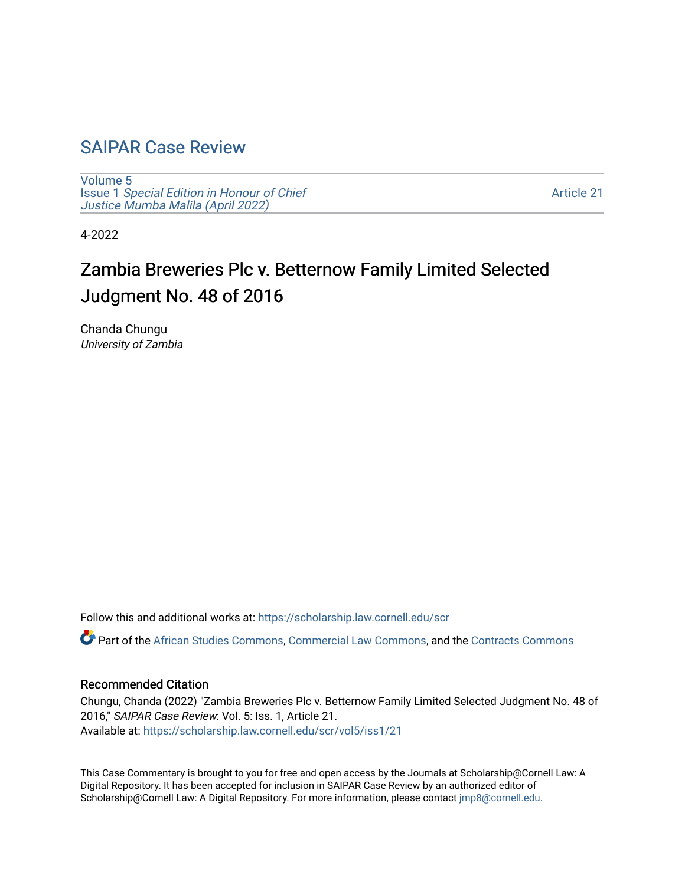## [SAIPAR Case Review](https://scholarship.law.cornell.edu/scr)

[Volume 5](https://scholarship.law.cornell.edu/scr/vol5) Issue 1 [Special Edition in Honour of Chief](https://scholarship.law.cornell.edu/scr/vol5/iss1) [Justice Mumba Malila \(April 2022\)](https://scholarship.law.cornell.edu/scr/vol5/iss1)

[Article 21](https://scholarship.law.cornell.edu/scr/vol5/iss1/21) 

4-2022

# Zambia Breweries Plc v. Betternow Family Limited Selected Judgment No. 48 of 2016

Chanda Chungu University of Zambia

Follow this and additional works at: [https://scholarship.law.cornell.edu/scr](https://scholarship.law.cornell.edu/scr?utm_source=scholarship.law.cornell.edu%2Fscr%2Fvol5%2Fiss1%2F21&utm_medium=PDF&utm_campaign=PDFCoverPages) 

Part of the [African Studies Commons,](https://network.bepress.com/hgg/discipline/1043?utm_source=scholarship.law.cornell.edu%2Fscr%2Fvol5%2Fiss1%2F21&utm_medium=PDF&utm_campaign=PDFCoverPages) [Commercial Law Commons](https://network.bepress.com/hgg/discipline/586?utm_source=scholarship.law.cornell.edu%2Fscr%2Fvol5%2Fiss1%2F21&utm_medium=PDF&utm_campaign=PDFCoverPages), and the [Contracts Commons](https://network.bepress.com/hgg/discipline/591?utm_source=scholarship.law.cornell.edu%2Fscr%2Fvol5%2Fiss1%2F21&utm_medium=PDF&utm_campaign=PDFCoverPages)

#### Recommended Citation

Chungu, Chanda (2022) "Zambia Breweries Plc v. Betternow Family Limited Selected Judgment No. 48 of 2016," SAIPAR Case Review: Vol. 5: Iss. 1, Article 21. Available at: [https://scholarship.law.cornell.edu/scr/vol5/iss1/21](https://scholarship.law.cornell.edu/scr/vol5/iss1/21?utm_source=scholarship.law.cornell.edu%2Fscr%2Fvol5%2Fiss1%2F21&utm_medium=PDF&utm_campaign=PDFCoverPages) 

This Case Commentary is brought to you for free and open access by the Journals at Scholarship@Cornell Law: A Digital Repository. It has been accepted for inclusion in SAIPAR Case Review by an authorized editor of Scholarship@Cornell Law: A Digital Repository. For more information, please contact [jmp8@cornell.edu](mailto:jmp8@cornell.edu).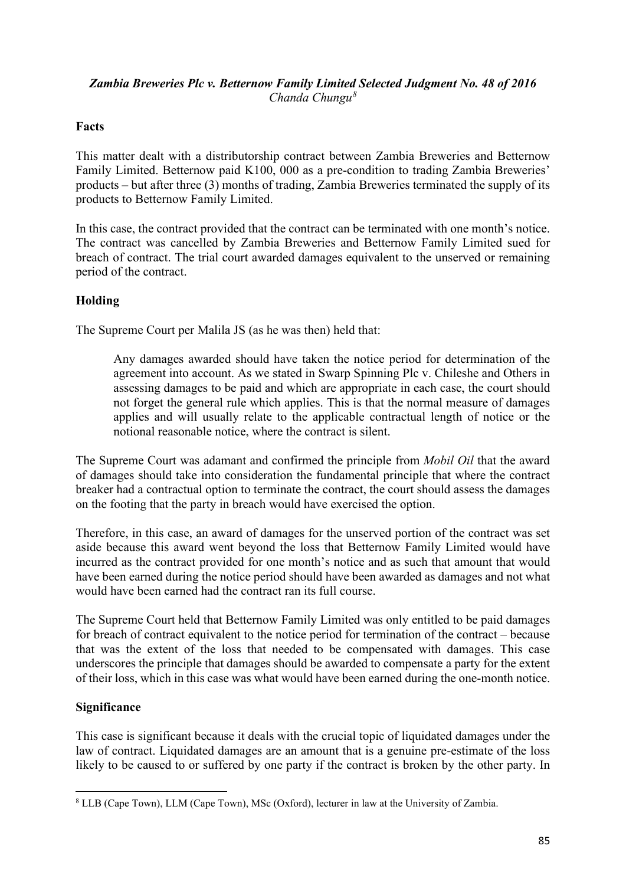#### *Zambia Breweries Plc v. Betternow Family Limited Selected Judgment No. 48 of 2016 Chanda Chungu[8](#page-1-0)*

### **Facts**

This matter dealt with a distributorship contract between Zambia Breweries and Betternow Family Limited. Betternow paid K100, 000 as a pre-condition to trading Zambia Breweries' products – but after three (3) months of trading, Zambia Breweries terminated the supply of its products to Betternow Family Limited.

In this case, the contract provided that the contract can be terminated with one month's notice. The contract was cancelled by Zambia Breweries and Betternow Family Limited sued for breach of contract. The trial court awarded damages equivalent to the unserved or remaining period of the contract.

### **Holding**

The Supreme Court per Malila JS (as he was then) held that:

Any damages awarded should have taken the notice period for determination of the agreement into account. As we stated in Swarp Spinning Plc v. Chileshe and Others in assessing damages to be paid and which are appropriate in each case, the court should not forget the general rule which applies. This is that the normal measure of damages applies and will usually relate to the applicable contractual length of notice or the notional reasonable notice, where the contract is silent.

The Supreme Court was adamant and confirmed the principle from *Mobil Oil* that the award of damages should take into consideration the fundamental principle that where the contract breaker had a contractual option to terminate the contract, the court should assess the damages on the footing that the party in breach would have exercised the option.

Therefore, in this case, an award of damages for the unserved portion of the contract was set aside because this award went beyond the loss that Betternow Family Limited would have incurred as the contract provided for one month's notice and as such that amount that would have been earned during the notice period should have been awarded as damages and not what would have been earned had the contract ran its full course.

The Supreme Court held that Betternow Family Limited was only entitled to be paid damages for breach of contract equivalent to the notice period for termination of the contract – because that was the extent of the loss that needed to be compensated with damages. This case underscores the principle that damages should be awarded to compensate a party for the extent of their loss, which in this case was what would have been earned during the one-month notice.

#### **Significance**

This case is significant because it deals with the crucial topic of liquidated damages under the law of contract. Liquidated damages are an amount that is a genuine pre-estimate of the loss likely to be caused to or suffered by one party if the contract is broken by the other party. In

<span id="page-1-0"></span><sup>8</sup> LLB (Cape Town), LLM (Cape Town), MSc (Oxford), lecturer in law at the University of Zambia.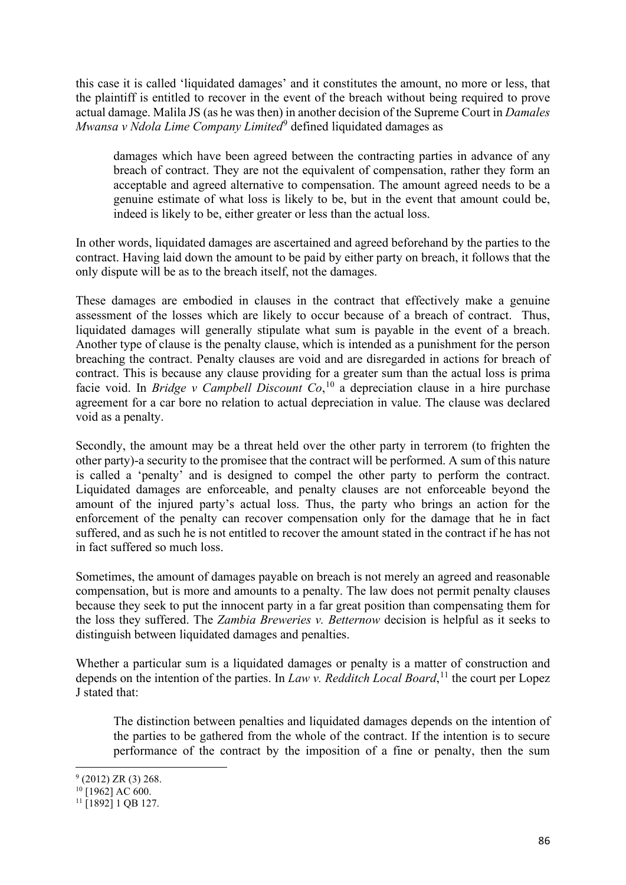this case it is called 'liquidated damages' and it constitutes the amount, no more or less, that the plaintiff is entitled to recover in the event of the breach without being required to prove actual damage. Malila JS (as he was then) in another decision of the Supreme Court in *Damales Mwansa v Ndola Lime Company Limited*<sup>[9](#page-2-0)</sup> defined liquidated damages as

damages which have been agreed between the contracting parties in advance of any breach of contract. They are not the equivalent of compensation, rather they form an acceptable and agreed alternative to compensation. The amount agreed needs to be a genuine estimate of what loss is likely to be, but in the event that amount could be, indeed is likely to be, either greater or less than the actual loss.

In other words, liquidated damages are ascertained and agreed beforehand by the parties to the contract. Having laid down the amount to be paid by either party on breach, it follows that the only dispute will be as to the breach itself, not the damages.

These damages are embodied in clauses in the contract that effectively make a genuine assessment of the losses which are likely to occur because of a breach of contract. Thus, liquidated damages will generally stipulate what sum is payable in the event of a breach. Another type of clause is the penalty clause, which is intended as a punishment for the person breaching the contract. Penalty clauses are void and are disregarded in actions for breach of contract. This is because any clause providing for a greater sum than the actual loss is prima facie void. In *Bridge v Campbell Discount Co*, [10](#page-2-1) a depreciation clause in a hire purchase agreement for a car bore no relation to actual depreciation in value. The clause was declared void as a penalty.

Secondly, the amount may be a threat held over the other party in terrorem (to frighten the other party)-a security to the promisee that the contract will be performed. A sum of this nature is called a 'penalty' and is designed to compel the other party to perform the contract. Liquidated damages are enforceable, and penalty clauses are not enforceable beyond the amount of the injured party's actual loss. Thus, the party who brings an action for the enforcement of the penalty can recover compensation only for the damage that he in fact suffered, and as such he is not entitled to recover the amount stated in the contract if he has not in fact suffered so much loss.

Sometimes, the amount of damages payable on breach is not merely an agreed and reasonable compensation, but is more and amounts to a penalty. The law does not permit penalty clauses because they seek to put the innocent party in a far great position than compensating them for the loss they suffered. The *Zambia Breweries v. Betternow* decision is helpful as it seeks to distinguish between liquidated damages and penalties.

Whether a particular sum is a liquidated damages or penalty is a matter of construction and depends on the intention of the parties. In *Law v. Redditch Local Board*, [11](#page-2-2) the court per Lopez J stated that:

The distinction between penalties and liquidated damages depends on the intention of the parties to be gathered from the whole of the contract. If the intention is to secure performance of the contract by the imposition of a fine or penalty, then the sum

<span id="page-2-0"></span> $9$  (2012) ZR (3) 268.

<span id="page-2-1"></span> $10$ [1962] AC 600.

<span id="page-2-2"></span> $11$  [1892] 1 QB 127.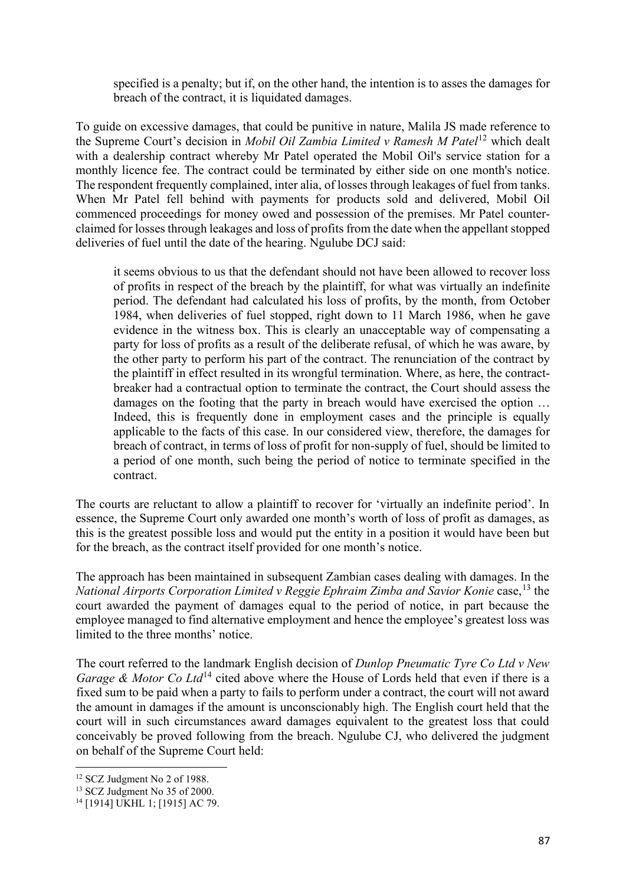specified is a penalty; but if, on the other hand, the intention is to asses the damages for breach of the contract, it is liquidated damages.

To guide on excessive damages, that could be punitive in nature, Malila JS made reference to the Supreme Court's decision in *Mobil Oil Zambia Limited v Ramesh M Patel*[12](#page-3-0) which dealt with a dealership contract whereby Mr Patel operated the Mobil Oil's service station for a monthly licence fee. The contract could be terminated by either side on one month's notice. The respondent frequently complained, inter alia, of losses through leakages of fuel from tanks. When Mr Patel fell behind with payments for products sold and delivered, Mobil Oil commenced proceedings for money owed and possession of the premises. Mr Patel counterclaimed for losses through leakages and loss of profits from the date when the appellant stopped deliveries of fuel until the date of the hearing. Ngulube DCJ said:

it seems obvious to us that the defendant should not have been allowed to recover loss of profits in respect of the breach by the plaintiff, for what was virtually an indefinite period. The defendant had calculated his loss of profits, by the month, from October 1984, when deliveries of fuel stopped, right down to 11 March 1986, when he gave evidence in the witness box. This is clearly an unacceptable way of compensating a party for loss of profits as a result of the deliberate refusal, of which he was aware, by the other party to perform his part of the contract. The renunciation of the contract by the plaintiff in effect resulted in its wrongful termination. Where, as here, the contractbreaker had a contractual option to terminate the contract, the Court should assess the damages on the footing that the party in breach would have exercised the option … Indeed, this is frequently done in employment cases and the principle is equally applicable to the facts of this case. In our considered view, therefore, the damages for breach of contract, in terms of loss of profit for non-supply of fuel, should be limited to a period of one month, such being the period of notice to terminate specified in the contract.

The courts are reluctant to allow a plaintiff to recover for 'virtually an indefinite period'. In essence, the Supreme Court only awarded one month's worth of loss of profit as damages, as this is the greatest possible loss and would put the entity in a position it would have been but for the breach, as the contract itself provided for one month's notice.

The approach has been maintained in subsequent Zambian cases dealing with damages. In the *National Airports Corporation Limited v Reggie Ephraim Zimba and Savior Konie* case,<sup>[13](#page-3-1)</sup> the court awarded the payment of damages equal to the period of notice, in part because the employee managed to find alternative employment and hence the employee's greatest loss was limited to the three months' notice.

The court referred to the landmark English decision of *Dunlop Pneumatic Tyre Co Ltd v New Garage & Motor Co Ltd*<sup>[14](#page-3-2)</sup> cited above where the House of Lords held that even if there is a fixed sum to be paid when a party to fails to perform under a contract, the court will not award the amount in damages if the amount is unconscionably high. The English court held that the court will in such circumstances award damages equivalent to the greatest loss that could conceivably be proved following from the breach. Ngulube CJ, who delivered the judgment on behalf of the Supreme Court held:

<sup>&</sup>lt;sup>12</sup> SCZ Judgment No 2 of 1988.

<span id="page-3-1"></span><span id="page-3-0"></span><sup>&</sup>lt;sup>13</sup> SCZ Judgment No 35 of 2000.

<span id="page-3-2"></span><sup>14</sup> [1914] UKHL 1; [1915] AC 79.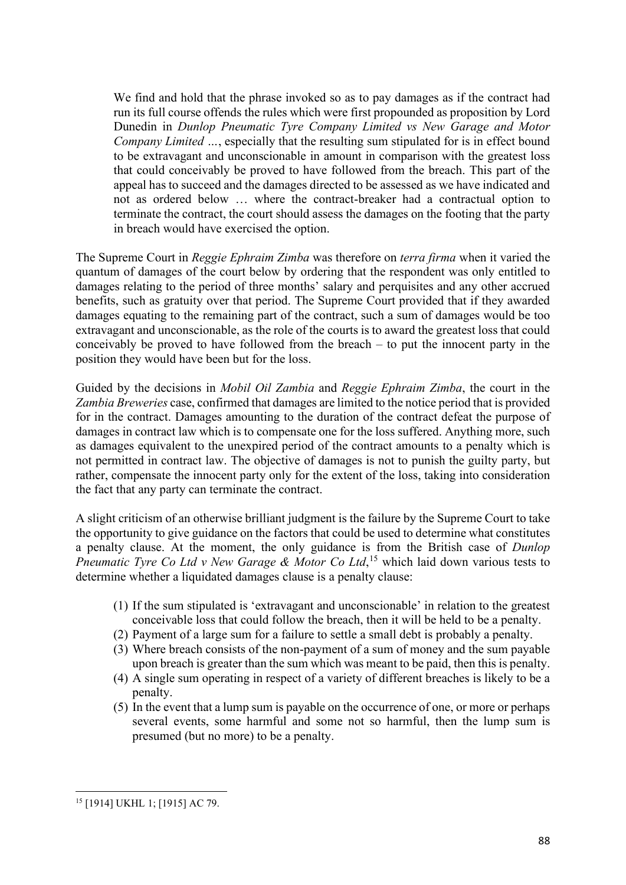We find and hold that the phrase invoked so as to pay damages as if the contract had run its full course offends the rules which were first propounded as proposition by Lord Dunedin in *Dunlop Pneumatic Tyre Company Limited vs New Garage and Motor Company Limited ...,* especially that the resulting sum stipulated for is in effect bound to be extravagant and unconscionable in amount in comparison with the greatest loss that could conceivably be proved to have followed from the breach. This part of the appeal has to succeed and the damages directed to be assessed as we have indicated and not as ordered below … where the contract-breaker had a contractual option to terminate the contract, the court should assess the damages on the footing that the party in breach would have exercised the option.

The Supreme Court in *Reggie Ephraim Zimba* was therefore on *terra firma* when it varied the quantum of damages of the court below by ordering that the respondent was only entitled to damages relating to the period of three months' salary and perquisites and any other accrued benefits, such as gratuity over that period. The Supreme Court provided that if they awarded damages equating to the remaining part of the contract, such a sum of damages would be too extravagant and unconscionable, as the role of the courts is to award the greatest loss that could conceivably be proved to have followed from the breach – to put the innocent party in the position they would have been but for the loss.

Guided by the decisions in *Mobil Oil Zambia* and *Reggie Ephraim Zimba*, the court in the *Zambia Breweries* case, confirmed that damages are limited to the notice period that is provided for in the contract. Damages amounting to the duration of the contract defeat the purpose of damages in contract law which is to compensate one for the loss suffered. Anything more, such as damages equivalent to the unexpired period of the contract amounts to a penalty which is not permitted in contract law. The objective of damages is not to punish the guilty party, but rather, compensate the innocent party only for the extent of the loss, taking into consideration the fact that any party can terminate the contract.

A slight criticism of an otherwise brilliant judgment is the failure by the Supreme Court to take the opportunity to give guidance on the factors that could be used to determine what constitutes a penalty clause. At the moment, the only guidance is from the British case of *Dunlop Pneumatic Tyre Co Ltd v New Garage & Motor Co Ltd*, [15](#page-4-0) which laid down various tests to determine whether a liquidated damages clause is a penalty clause:

- (1) If the sum stipulated is 'extravagant and unconscionable' in relation to the greatest conceivable loss that could follow the breach, then it will be held to be a penalty.
- (2) Payment of a large sum for a failure to settle a small debt is probably a penalty.
- (3) Where breach consists of the non-payment of a sum of money and the sum payable upon breach is greater than the sum which was meant to be paid, then this is penalty.
- (4) A single sum operating in respect of a variety of different breaches is likely to be a penalty.
- (5) In the event that a lump sum is payable on the occurrence of one, or more or perhaps several events, some harmful and some not so harmful, then the lump sum is presumed (but no more) to be a penalty.

<span id="page-4-0"></span><sup>15</sup> [1914] UKHL 1; [1915] AC 79.